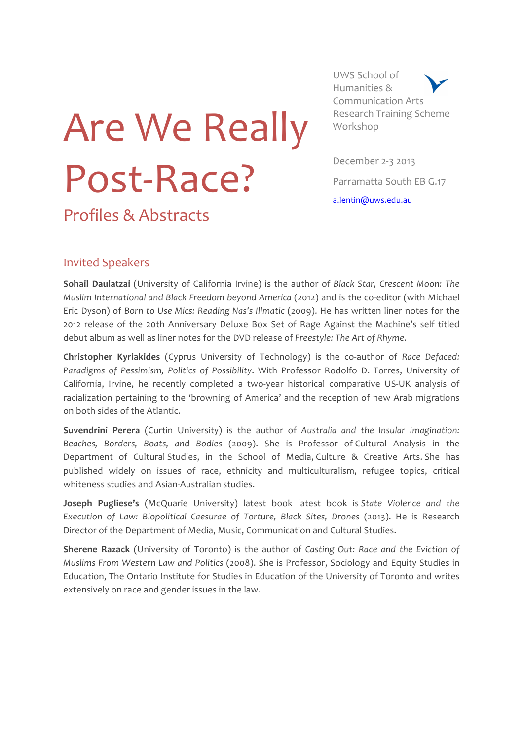# Are We Really Post-Race?

UWS School of Humanities & Communication Arts Research Training Scheme Workshop

December 2-3 2013 Parramatta South EB G.17 a.lentin@uws.edu.au

# Invited Speakers

Profiles & Abstracts

**Sohail Daulatzai** (University of California Irvine) is the author of *Black Star, Crescent Moon: The Muslim International and Black Freedom beyond America* (2012) and is the co-editor (with Michael Eric Dyson) of *Born to Use Mics: Reading Nas's Illmatic* (2009). He has written liner notes for the 2012 release of the 20th Anniversary Deluxe Box Set of Rage Against the Machine's self titled debut album as well as liner notes for the DVD release of Freestyle: The Art of Rhyme.

**Christopher Kyriakides** (Cyprus University of Technology) is the co-author of Race Defaced: Paradigms of Pessimism, Politics of Possibility. With Professor Rodolfo D. Torres, University of California, Irvine, he recently completed a two-year historical comparative US-UK analysis of racialization pertaining to the 'browning of America' and the reception of new Arab migrations on both sides of the Atlantic.

**Suvendrini Perera** (Curtin University) is the author of *Australia and the Insular Imagination:* Beaches, Borders, Boats, and Bodies (2009). She is Professor of Cultural Analysis in the Department of Cultural Studies, in the School of Media, Culture & Creative Arts. She has published widely on issues of race, ethnicity and multiculturalism, refugee topics, critical whiteness studies and Asian-Australian studies.

**Joseph Pugliese's** (McQuarie University) latest book latest book is State Violence and the *Execution of Law: Biopolitical Caesurae of Torture, Black Sites, Drones*  (2013). He is Research Director of the Department of Media, Music, Communication and Cultural Studies.

**Sherene Razack** (University of Toronto) is the author of *Casting Out: Race and the Eviction of Muslims From Western Law and Politics* (2008). She is Professor, Sociology and Equity Studies in Education, The Ontario Institute for Studies in Education of the University of Toronto and writes extensively on race and gender issues in the law.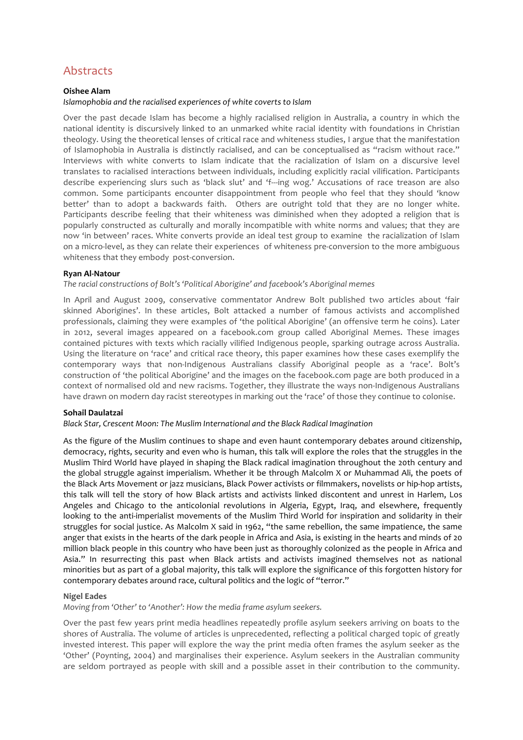# Abstracts

## **Oishee Alam**

### *Islamophobia and the racialised experiences of white coverts to Islam*

Over the past decade Islam has become a highly racialised religion in Australia, a country in which the national identity is discursively linked to an unmarked white racial identity with foundations in Christian theology. Using the theoretical lenses of critical race and whiteness studies, I argue that the manifestation of Islamophobia in Australia is distinctly racialised, and can be conceptualised as "racism without race." Interviews with white converts to Islam indicate that the racialization of Islam on a discursive level translates to racialised interactions between individuals, including explicitly racial vilification. Participants describe experiencing slurs such as 'black slut' and 'f---ing wog.' Accusations of race treason are also common. Some participants encounter disappointment from people who feel that they should 'know better' than to adopt a backwards faith. Others are outright told that they are no longer white. Participants describe feeling that their whiteness was diminished when they adopted a religion that is popularly constructed as culturally and morally incompatible with white norms and values; that they are now 'in between' races. White converts provide an ideal test group to examine the racialization of Islam on a micro-level, as they can relate their experiences of whiteness pre-conversion to the more ambiguous whiteness that they embody post-conversion.

#### **Ryan Al-Natour**

The racial constructions of Bolt's 'Political Aborigine' and facebook's Aboriginal memes

In April and August 2009, conservative commentator Andrew Bolt published two articles about 'fair skinned Aborigines'. In these articles, Bolt attacked a number of famous activists and accomplished professionals, claiming they were examples of 'the political Aborigine' (an offensive term he coins). Later in 2012, several images appeared on a facebook.com group called Aboriginal Memes. These images contained pictures with texts which racially vilified Indigenous people, sparking outrage across Australia. Using the literature on 'race' and critical race theory, this paper examines how these cases exemplify the contemporary ways that non-Indigenous Australians classify Aboriginal people as a 'race'. Bolt's construction of 'the political Aborigine' and the images on the facebook.com page are both produced in a context of normalised old and new racisms. Together, they illustrate the ways non-Indigenous Australians have drawn on modern day racist stereotypes in marking out the 'race' of those they continue to colonise.

#### **Sohail Daulatzai**

*Black Star, Crescent Moon: The Muslim International and the Black Radical Imagination*

As the figure of the Muslim continues to shape and even haunt contemporary debates around citizenship, democracy, rights, security and even who is human, this talk will explore the roles that the struggles in the Muslim Third World have played in shaping the Black radical imagination throughout the 20th century and the global struggle against imperialism. Whether it be through Malcolm X or Muhammad Ali, the poets of the Black Arts Movement or jazz musicians, Black Power activists or filmmakers, novelists or hip-hop artists, this talk will tell the story of how Black artists and activists linked discontent and unrest in Harlem, Los Angeles and Chicago to the anticolonial revolutions in Algeria, Egypt, Iraq, and elsewhere, frequently looking to the anti-imperialist movements of the Muslim Third World for inspiration and solidarity in their struggles for social justice. As Malcolm X said in 1962, "the same rebellion, the same impatience, the same anger that exists in the hearts of the dark people in Africa and Asia, is existing in the hearts and minds of 20 million black people in this country who have been just as thoroughly colonized as the people in Africa and Asia." In resurrecting this past when Black artists and activists imagined themselves not as national minorities but as part of a global majority, this talk will explore the significance of this forgotten history for contemporary debates around race, cultural politics and the logic of "terror."

## **Nigel Eades**

*Moving* from 'Other' to 'Another': How the media frame asylum seekers.

Over the past few years print media headlines repeatedly profile asylum seekers arriving on boats to the shores of Australia. The volume of articles is unprecedented, reflecting a political charged topic of greatly invested interest. This paper will explore the way the print media often frames the asylum seeker as the 'Other' (Poynting, 2004) and marginalises their experience. Asylum seekers in the Australian community are seldom portrayed as people with skill and a possible asset in their contribution to the community.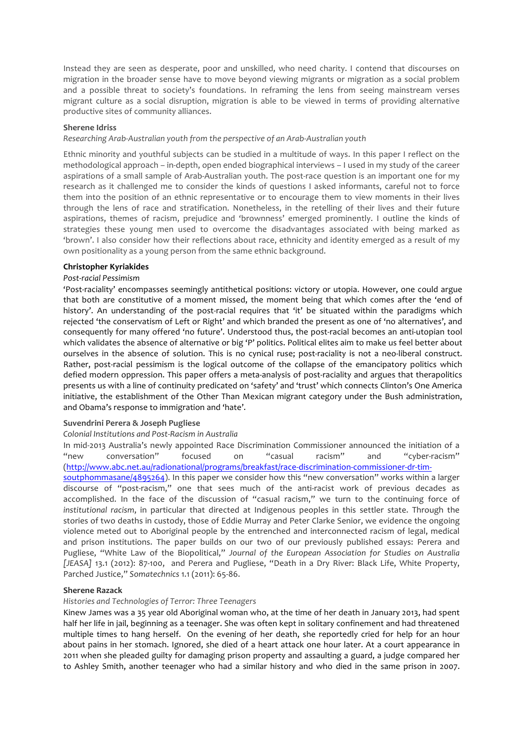Instead they are seen as desperate, poor and unskilled, who need charity. I contend that discourses on migration in the broader sense have to move beyond viewing migrants or migration as a social problem and a possible threat to society's foundations. In reframing the lens from seeing mainstream verses migrant culture as a social disruption, migration is able to be viewed in terms of providing alternative productive sites of community alliances.

#### **Sherene Idriss**

*Researching Arab-Australian youth from the perspective of an Arab-Australian youth*

Ethnic minority and youthful subjects can be studied in a multitude of ways. In this paper I reflect on the methodological approach – in-depth, open ended biographical interviews  $-1$  used in my study of the career aspirations of a small sample of Arab-Australian youth. The post-race question is an important one for my research as it challenged me to consider the kinds of questions I asked informants, careful not to force them into the position of an ethnic representative or to encourage them to view moments in their lives through the lens of race and stratification. Nonetheless, in the retelling of their lives and their future aspirations, themes of racism, prejudice and 'brownness' emerged prominently. I outline the kinds of strategies these young men used to overcome the disadvantages associated with being marked as 'brown'. I also consider how their reflections about race, ethnicity and identity emerged as a result of my own positionality as a young person from the same ethnic background.

#### **Christopher Kyriakides**

#### *Post-racial Pessimism*

'Post-raciality' encompasses seemingly antithetical positions: victory or utopia. However, one could argue that both are constitutive of a moment missed, the moment being that which comes after the 'end of history'. An understanding of the post-racial requires that 'it' be situated within the paradigms which rejected 'the conservatism of Left or Right' and which branded the present as one of 'no alternatives', and consequently for many offered 'no future'. Understood thus, the post-racial becomes an anti-utopian tool which validates the absence of alternative or big 'P' politics. Political elites aim to make us feel better about ourselves in the absence of solution. This is no cynical ruse; post-raciality is not a neo-liberal construct. Rather, post-racial pessimism is the logical outcome of the collapse of the emancipatory politics which defied modern oppression. This paper offers a meta-analysis of post-raciality and argues that therapolitics presents us with a line of continuity predicated on 'safety' and 'trust' which connects Clinton's One America initiative, the establishment of the Other Than Mexican migrant category under the Bush administration, and Obama's response to immigration and 'hate'.

#### **Suvendrini Perera & Joseph Pugliese**

#### Colonial Institutions and Post-Racism in Australia

In mid-2013 Australia's newly appointed Race Discrimination Commissioner announced the initiation of a "new conversation" focused on "casual racism" and "cyber-racism" (http://www.abc.net.au/radionational/programs/breakfast/race-discrimination-commissioner-dr-tim-

soutphommasane/4895264). In this paper we consider how this "new conversation" works within a larger discourse of "post-racism," one that sees much of the anti-racist work of previous decades as accomplished. In the face of the discussion of "casual racism," we turn to the continuing force of *institutional racism*, in particular that directed at Indigenous peoples in this settler state. Through the stories of two deaths in custody, those of Eddie Murray and Peter Clarke Senior, we evidence the ongoing violence meted out to Aboriginal people by the entrenched and interconnected racism of legal, medical and prison institutions. The paper builds on our two of our previously published essays: Perera and Pugliese, "White Law of the Biopolitical," Journal of the European Association for Studies on Australia [JEASA] 13.1 (2012): 87-100, and Perera and Pugliese, "Death in a Dry River: Black Life, White Property, Parched Justice," Somatechnics 1.1 (2011): 65-86.

#### **Sherene Razack**

#### *Histories and Technologies of Terror: Three Teenagers*

Kinew James was a 35 year old Aboriginal woman who, at the time of her death in January 2013, had spent half her life in jail, beginning as a teenager. She was often kept in solitary confinement and had threatened multiple times to hang herself. On the evening of her death, she reportedly cried for help for an hour about pains in her stomach. Ignored, she died of a heart attack one hour later. At a court appearance in 2011 when she pleaded guilty for damaging prison property and assaulting a guard, a judge compared her to Ashley Smith, another teenager who had a similar history and who died in the same prison in 2007.